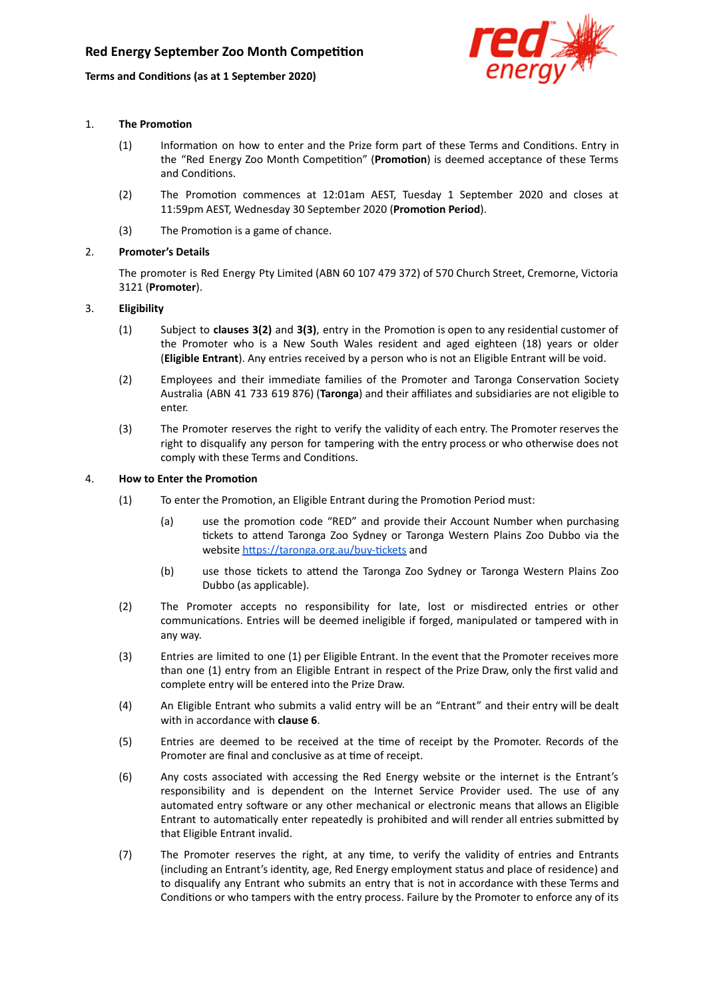## **Terms and Condions (as at 1 September 2020)**



## 1. **The Promotion**

- (1) Information on how to enter and the Prize form part of these Terms and Conditions. Entry in the "Red Energy Zoo Month Competition" (Promotion) is deemed acceptance of these Terms and Conditions.
- (2) The Promotion commences at 12:01am AEST, Tuesday 1 September 2020 and closes at 11:59pm AEST, Wednesday 30 September 2020 (Promotion Period).
- $(3)$  The Promotion is a game of chance.

## 2. **Promoter's Details**

The promoter is Red Energy Pty Limited (ABN 60 107 479 372) of 570 Church Street, Cremorne, Victoria 3121 (**Promoter**).

## 3. **Eligibility**

- (1) Subject to **clauses 3(2)** and **3(3)**, entry in the Promotion is open to any residential customer of the Promoter who is a New South Wales resident and aged eighteen (18) years or older (**Eligible Entrant**). Any entries received by a person who is not an Eligible Entrant will be void.
- (2) Employees and their immediate families of the Promoter and Taronga Conservation Society Australia (ABN 41 733 619 876) (**Taronga**) and their affiliates and subsidiaries are not eligible to enter.
- (3) The Promoter reserves the right to verify the validity of each entry. The Promoter reserves the right to disqualify any person for tampering with the entry process or who otherwise does not comply with these Terms and Conditions.

### 4. **How to Enter the Promoon**

- (1) To enter the Promotion, an Eligible Entrant during the Promotion Period must:
	- (a) use the promotion code "RED" and provide their Account Number when purchasing tickets to attend Taronga Zoo Sydney or Taronga Western Plains Zoo Dubbo via the website https://taronga.org.au/buy-tickets and
	- (b) use those tickets to attend the Taronga Zoo Sydney or Taronga Western Plains Zoo Dubbo (as applicable).
- (2) The Promoter accepts no responsibility for late, lost or misdirected entries or other communications. Entries will be deemed ineligible if forged, manipulated or tampered with in any way.
- (3) Entries are limited to one (1) per Eligible Entrant. In the event that the Promoter receives more than one (1) entry from an Eligible Entrant in respect of the Prize Draw, only the first valid and complete entry will be entered into the Prize Draw.
- (4) An Eligible Entrant who submits a valid entry will be an "Entrant" and their entry will be dealt with in accordance with **clause 6**.
- (5) Entries are deemed to be received at the me of receipt by the Promoter. Records of the Promoter are final and conclusive as at time of receipt.
- (6) Any costs associated with accessing the Red Energy website or the internet is the Entrant's responsibility and is dependent on the Internet Service Provider used. The use of any automated entry software or any other mechanical or electronic means that allows an Eligible Entrant to automatically enter repeatedly is prohibited and will render all entries submitted by that Eligible Entrant invalid.
- (7) The Promoter reserves the right, at any time, to verify the validity of entries and Entrants (including an Entrant's identity, age, Red Energy employment status and place of residence) and to disqualify any Entrant who submits an entry that is not in accordance with these Terms and Conditions or who tampers with the entry process. Failure by the Promoter to enforce any of its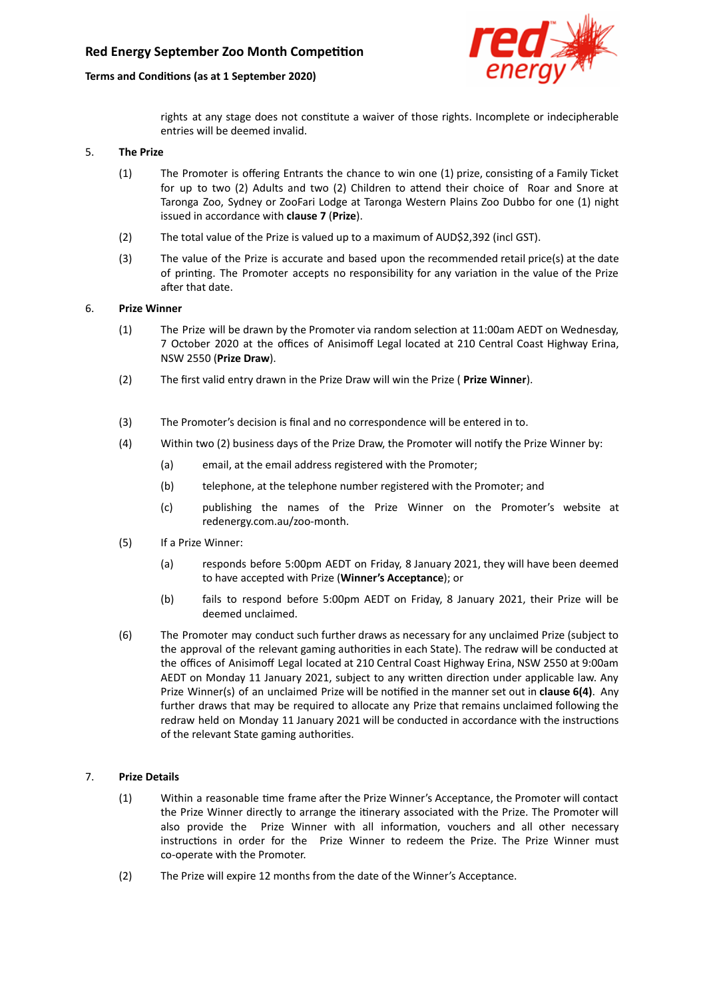## **Terms and Condions (as at 1 September 2020)**



rights at any stage does not constitute a waiver of those rights. Incomplete or indecipherable entries will be deemed invalid.

## 5. **The Prize**

- (1) The Promoter is offering Entrants the chance to win one (1) prize, consisting of a Family Ticket for up to two  $(2)$  Adults and two  $(2)$  Children to attend their choice of Roar and Snore at Taronga Zoo, Sydney or ZooFari Lodge at Taronga Western Plains Zoo Dubbo for one (1) night issued in accordance with **clause 7** (**Prize**).
- (2) The total value of the Prize is valued up to a maximum of AUD\$2,392 (incl GST).
- (3) The value of the Prize is accurate and based upon the recommended retail price(s) at the date of printing. The Promoter accepts no responsibility for any variation in the value of the Prize after that date.

### 6. **Prize Winner**

- $(1)$  The Prize will be drawn by the Promoter via random selection at 11:00am AEDT on Wednesday, 7 October 2020 at the offices of Anisimoff Legal located at 210 Central Coast Highway Erina, NSW 2550 (**Prize Draw**).
- (2) The first valid entry drawn in the Prize Draw will win the Prize ( **Prize Winner**).
- (3) The Promoter's decision is final and no correspondence will be entered in to.
- (4) Within two (2) business days of the Prize Draw, the Promoter will notify the Prize Winner by:
	- (a) email, at the email address registered with the Promoter;
	- (b) telephone, at the telephone number registered with the Promoter; and
	- (c) publishing the names of the Prize Winner on the Promoter's website at redenergy.com.au/zoo-month.
- (5) If a Prize Winner:
	- (a) responds before 5:00pm AEDT on Friday, 8 January 2021, they will have been deemed to have accepted with Prize (**Winner's Acceptance**); or
	- (b) fails to respond before 5:00pm AEDT on Friday, 8 January 2021, their Prize will be deemed unclaimed.
- (6) The Promoter may conduct such further draws as necessary for any unclaimed Prize (subject to the approval of the relevant gaming authorities in each State). The redraw will be conducted at the offices of Anisimoff Legal located at 210 Central Coast Highway Erina, NSW 2550 at 9:00am AEDT on Monday 11 January 2021, subject to any written direction under applicable law. Any Prize Winner(s) of an unclaimed Prize will be nofied in the manner set out in **clause 6(4)**. Any further draws that may be required to allocate any Prize that remains unclaimed following the redraw held on Monday 11 January 2021 will be conducted in accordance with the instructions of the relevant State gaming authorities.

### 7. **Prize Details**

- (1) Within a reasonable time frame after the Prize Winner's Acceptance, the Promoter will contact the Prize Winner directly to arrange the itinerary associated with the Prize. The Promoter will also provide the Prize Winner with all information, vouchers and all other necessary instructions in order for the Prize Winner to redeem the Prize. The Prize Winner must co-operate with the Promoter.
- (2) The Prize will expire 12 months from the date of the Winner's Acceptance.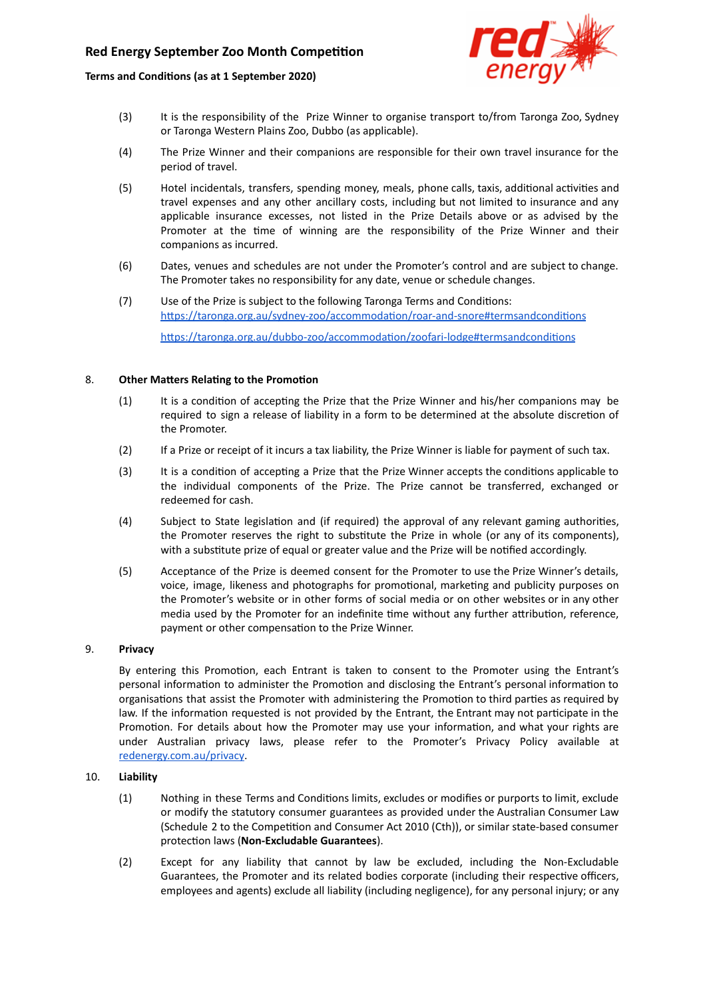# **Red Energy September Zoo Month Competition**

## **Terms and Condions (as at 1 September 2020)**



- (3) It is the responsibility of the Prize Winner to organise transport to/from Taronga Zoo, Sydney or Taronga Western Plains Zoo, Dubbo (as applicable).
- (4) The Prize Winner and their companions are responsible for their own travel insurance for the period of travel.
- (5) Hotel incidentals, transfers, spending money, meals, phone calls, taxis, additional activities and travel expenses and any other ancillary costs, including but not limited to insurance and any applicable insurance excesses, not listed in the Prize Details above or as advised by the Promoter at the time of winning are the responsibility of the Prize Winner and their companions as incurred.
- (6) Dates, venues and schedules are not under the Promoter's control and are subject to change. The Promoter takes no responsibility for any date, venue or schedule changes.
- (7) Use of the Prize is subject to the following Taronga Terms and Conditions: https://taronga.org.au/sydney-zoo/accommodation/roar-and-snore#termsandconditions https://taronga.org.au/dubbo-zoo/accommodation/zoofari-lodge#termsandconditions

### 8. Other Matters Relating to the Promotion

- (1) It is a condition of accepting the Prize that the Prize Winner and his/her companions may be required to sign a release of liability in a form to be determined at the absolute discretion of the Promoter.
- (2) If a Prize or receipt of it incurs a tax liability, the Prize Winner is liable for payment of such tax.
- (3) It is a condition of accepting a Prize that the Prize Winner accepts the conditions applicable to the individual components of the Prize. The Prize cannot be transferred, exchanged or redeemed for cash.
- (4) Subject to State legislation and (if required) the approval of any relevant gaming authorities, the Promoter reserves the right to substitute the Prize in whole (or any of its components), with a substitute prize of equal or greater value and the Prize will be notified accordingly.
- (5) Acceptance of the Prize is deemed consent for the Promoter to use the Prize Winner's details, voice, image, likeness and photographs for promotional, marketing and publicity purposes on the Promoter's website or in other forms of social media or on other websites or in any other media used by the Promoter for an indefinite time without any further attribution, reference, payment or other compensation to the Prize Winner.

## 9. **Privacy**

By entering this Promotion, each Entrant is taken to consent to the Promoter using the Entrant's personal information to administer the Promotion and disclosing the Entrant's personal information to organisations that assist the Promoter with administering the Promotion to third parties as required by law. If the information requested is not provided by the Entrant, the Entrant may not participate in the Promotion. For details about how the Promoter may use your information, and what your rights are under Australian privacy laws, please refer to the Promoter's Privacy Policy available a[t](https://www.redenergy.com.au/privacy) [redenergy.com.au/privacy](https://www.redenergy.com.au/privacy).

#### 10. **Liability**

- (1) Nothing in these Terms and Conditions limits, excludes or modifies or purports to limit, exclude or modify the statutory consumer guarantees as provided under the Australian Consumer Law (Schedule 2 to the Competition and Consumer Act 2010 (Cth)), or similar state-based consumer protecon laws (**Non-Excludable Guarantees**).
- (2) Except for any liability that cannot by law be excluded, including the Non-Excludable Guarantees, the Promoter and its related bodies corporate (including their respective officers, employees and agents) exclude all liability (including negligence), for any personal injury; or any